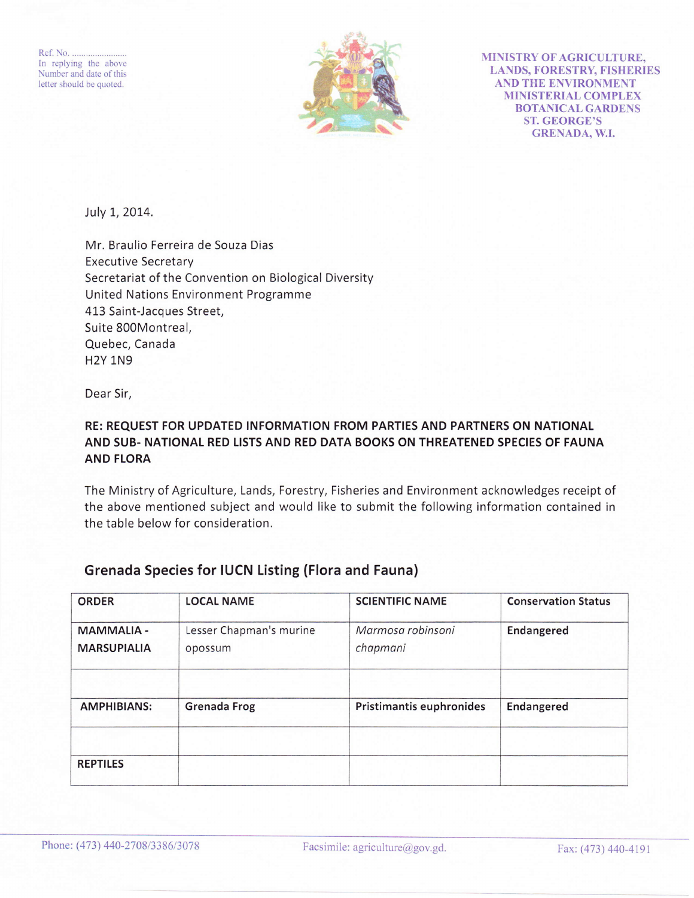Ref. No. In replying the above Number and date of this letter should be quoted.



MINISTRY OF AGRICULTURE. LANDS, FORESTRY, FISHERIES AND THE ENVIRONMENT MINISTERIAL COMPLEX BOTANICAL GARDENS ST. GEORGE'S GRENADA, W.I.

July 1, 2014.

Mr, Braulio Ferreira de Souza Dias Executive Secretary Secretariat of the Convention on Biological Diversity United Nations Environment Programme 413 Saint-Jacques Street, Suite 800Montreal, Quebec, Canada H2Y 1N9

Dear Sir,

## RE: REQUEST FOR UPDATED INFORMATION FROM PARTIES AND PARTNERS ON NATIONAL AND SUB- NATIONAL RED LISTS AND RED DATA BOOKS ON THREATENED SPECIES OF FAUNA AND FLORA

The Ministry of Agriculture, Lands, Forestry, Fisheries and Environment acknowledges receipt of the above mentioned subject and would like to submit the following information contained in the table below for consideration.

| <b>ORDER</b>                            | <b>LOCAL NAME</b>                  | <b>SCIENTIFIC NAME</b>        | <b>Conservation Status</b> |
|-----------------------------------------|------------------------------------|-------------------------------|----------------------------|
| <b>MAMMALIA -</b><br><b>MARSUPIALIA</b> | Lesser Chapman's murine<br>opossum | Marmosa robinsoni<br>chapmani | Endangered                 |
| <b>AMPHIBIANS:</b>                      | <b>Grenada Frog</b>                | Pristimantis euphronides      | Endangered                 |
|                                         |                                    |                               |                            |
| <b>REPTILES</b>                         |                                    |                               |                            |

## Grenada Species for IUCN Listing (Flora and Fauna)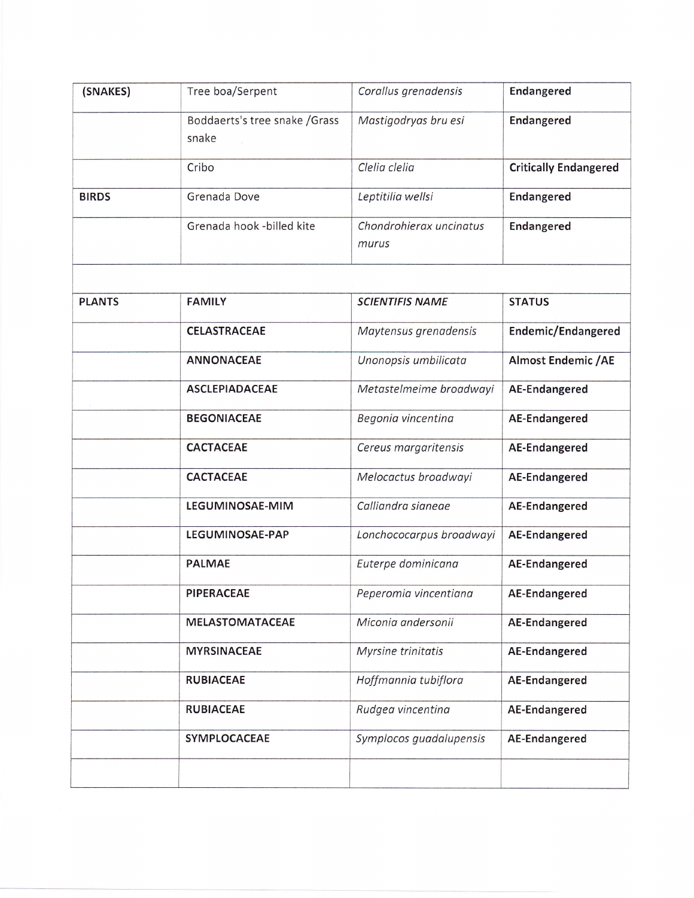| (SNAKES)      | Tree boa/Serpent                        | Corallus grenadensis             | <b>Endangered</b>            |
|---------------|-----------------------------------------|----------------------------------|------------------------------|
|               | Boddaerts's tree snake / Grass<br>snake | Mastigodryas bru esi             | Endangered                   |
|               | Cribo                                   | Clelia clelia                    | <b>Critically Endangered</b> |
| <b>BIRDS</b>  | Grenada Dove                            | Leptitilia wellsi                | Endangered                   |
|               | Grenada hook -billed kite               | Chondrohierax uncinatus<br>murus | <b>Endangered</b>            |
|               |                                         |                                  |                              |
| <b>PLANTS</b> | <b>FAMILY</b>                           | <b>SCIENTIFIS NAME</b>           | <b>STATUS</b>                |
|               | <b>CELASTRACEAE</b>                     | Maytensus grenadensis            | Endemic/Endangered           |
|               | <b>ANNONACEAE</b>                       | Unonopsis umbilicata             | <b>Almost Endemic / AE</b>   |
|               | <b>ASCLEPIADACEAE</b>                   | Metastelmeime broadwayi          | AE-Endangered                |
|               | <b>BEGONIACEAE</b>                      | Begonia vincentina               | AE-Endangered                |
|               | <b>CACTACEAE</b>                        | Cereus margaritensis             | AE-Endangered                |
|               | <b>CACTACEAE</b>                        | Melocactus broadwayi             | AE-Endangered                |
|               | LEGUMINOSAE-MIM                         | Calliandra sianeae               | AE-Endangered                |
|               | LEGUMINOSAE-PAP                         | Lonchococarpus broadwayi         | AE-Endangered                |
|               | <b>PALMAE</b>                           | Euterpe dominicana               | AE-Endangered                |
|               | <b>PIPERACEAE</b>                       | Peperomia vincentiana            | AE-Endangered                |
|               | <b>MELASTOMATACEAE</b>                  | Miconia andersonii               | AE-Endangered                |
|               | <b>MYRSINACEAE</b>                      | Myrsine trinitatis               | AE-Endangered                |
|               | <b>RUBIACEAE</b>                        | Hoffmannia tubiflora             | AE-Endangered                |
|               | <b>RUBIACEAE</b>                        | Rudgea vincentina                | AE-Endangered                |
|               | SYMPLOCACEAE                            | Symplocos guadalupensis          | AE-Endangered                |
|               |                                         |                                  |                              |